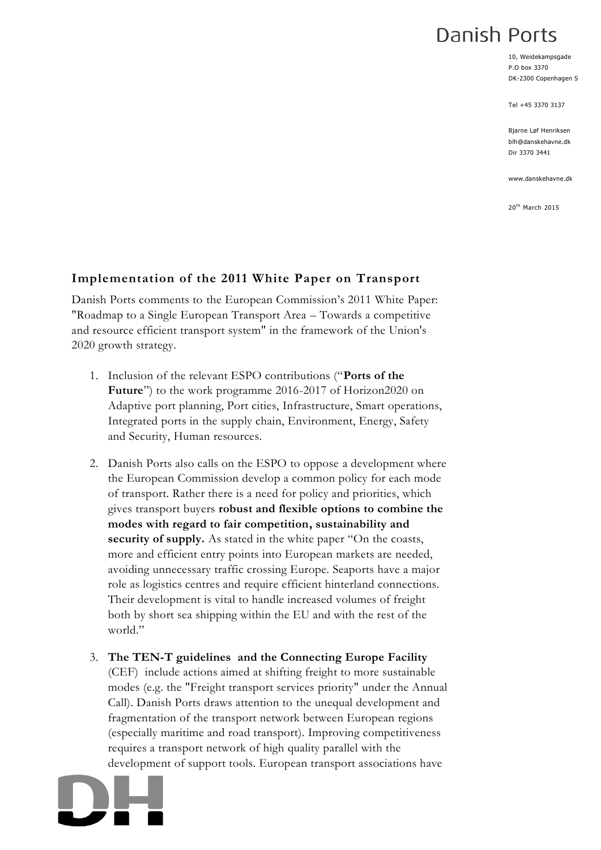## Danish Ports

10, Weidekampsgade P.O box 3370 DK-2300 Copenhagen S

Tel +45 3370 3137

Bjarne Løf Henriksen blh@danskehavne.dk Dir 3370 3441

www.danskehavne.dk

20th March 2015

## **Implementation of the 2011 White Paper on Transport**

Danish Ports comments to the European Commission's 2011 White Paper: "Roadmap to a Single European Transport Area – Towards a competitive and resource efficient transport system" in the framework of the Union's 2020 growth strategy.

- 1. Inclusion of the relevant ESPO contributions ("**Ports of the Future**") to the work programme 2016-2017 of Horizon2020 on Adaptive port planning, Port cities, Infrastructure, Smart operations, Integrated ports in the supply chain, Environment, Energy, Safety and Security, Human resources.
- 2. Danish Ports also calls on the ESPO to oppose a development where the European Commission develop a common policy for each mode of transport. Rather there is a need for policy and priorities, which gives transport buyers **robust and flexible options to combine the modes with regard to fair competition, sustainability and security of supply.** As stated in the white paper "On the coasts, more and efficient entry points into European markets are needed, avoiding unnecessary traffic crossing Europe. Seaports have a major role as logistics centres and require efficient hinterland connections. Their development is vital to handle increased volumes of freight both by short sea shipping within the EU and with the rest of the world."
- 3. **The TEN-T guidelines and the Connecting Europe Facility** (CEF) include actions aimed at shifting freight to more sustainable modes (e.g. the "Freight transport services priority" under the Annual Call). Danish Ports draws attention to the unequal development and fragmentation of the transport network between European regions (especially maritime and road transport). Improving competitiveness requires a transport network of high quality parallel with the development of support tools. European transport associations have

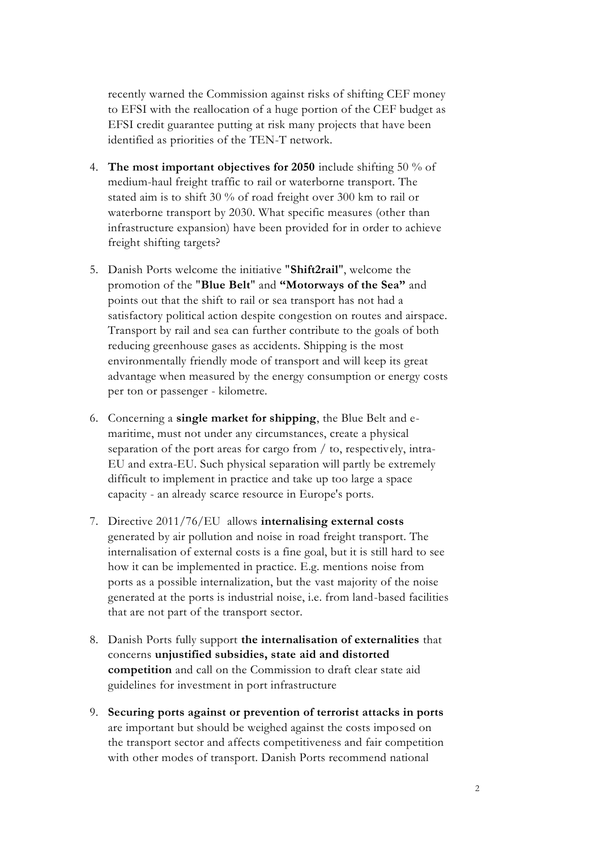recently warned the Commission against risks of shifting CEF money to EFSI with the reallocation of a huge portion of the CEF budget as EFSI credit guarantee putting at risk many projects that have been identified as priorities of the TEN-T network.

- 4. **The most important objectives for 2050** include shifting 50 % of medium-haul freight traffic to rail or waterborne transport. The stated aim is to shift 30 % of road freight over 300 km to rail or waterborne transport by 2030. What specific measures (other than infrastructure expansion) have been provided for in order to achieve freight shifting targets?
- 5. Danish Ports welcome the initiative "**Shift2rail**", welcome the promotion of the "**Blue Belt**" and **"Motorways of the Sea"** and points out that the shift to rail or sea transport has not had a satisfactory political action despite congestion on routes and airspace. Transport by rail and sea can further contribute to the goals of both reducing greenhouse gases as accidents. Shipping is the most environmentally friendly mode of transport and will keep its great advantage when measured by the energy consumption or energy costs per ton or passenger - kilometre.
- 6. Concerning a **single market for shipping**, the Blue Belt and emaritime, must not under any circumstances, create a physical separation of the port areas for cargo from / to, respectively, intra-EU and extra-EU. Such physical separation will partly be extremely difficult to implement in practice and take up too large a space capacity - an already scarce resource in Europe's ports.
- 7. Directive 2011/76/EU allows **internalising external costs** generated by air pollution and noise in road freight transport. The internalisation of external costs is a fine goal, but it is still hard to see how it can be implemented in practice. E.g. mentions noise from ports as a possible internalization, but the vast majority of the noise generated at the ports is industrial noise, i.e. from land-based facilities that are not part of the transport sector.
- 8. Danish Ports fully support **the internalisation of externalities** that concerns **unjustified subsidies, state aid and distorted competition** and call on the Commission to draft clear state aid guidelines for investment in port infrastructure
- 9. **Securing ports against or prevention of terrorist attacks in ports** are important but should be weighed against the costs imposed on the transport sector and affects competitiveness and fair competition with other modes of transport. Danish Ports recommend national